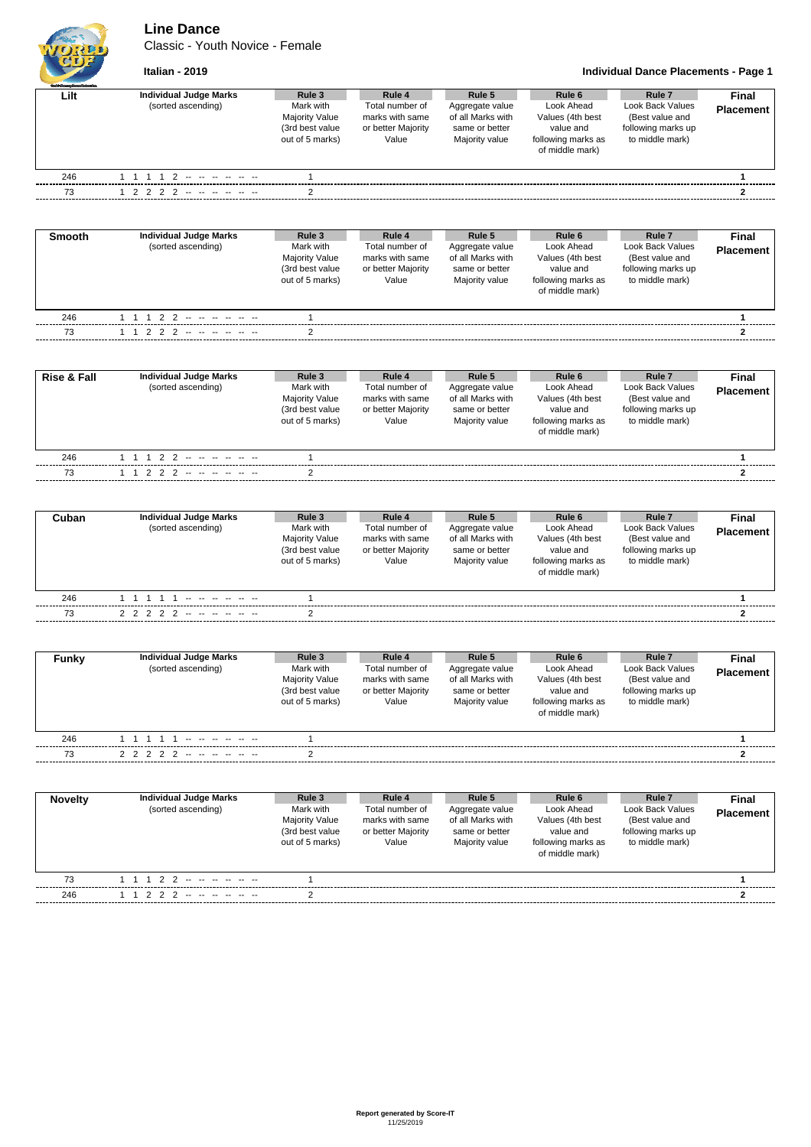**Line Dance**

Classic - Youth Novice - Female



## **Italian - 2019 Individual Dance Placements - Page 1**

| <b>Guild Gauger Days February</b> |                                                     |                                                                                    |                                                                             |                                                                                    |                                                                                                           |                                                                                                   |                           |
|-----------------------------------|-----------------------------------------------------|------------------------------------------------------------------------------------|-----------------------------------------------------------------------------|------------------------------------------------------------------------------------|-----------------------------------------------------------------------------------------------------------|---------------------------------------------------------------------------------------------------|---------------------------|
| Lilt                              | <b>Individual Judge Marks</b><br>(sorted ascending) | Rule 3<br>Mark with<br><b>Majority Value</b><br>(3rd best value<br>out of 5 marks) | Rule 4<br>Total number of<br>marks with same<br>or better Majority<br>Value | Rule 5<br>Aggregate value<br>of all Marks with<br>same or better<br>Majority value | Rule <sub>6</sub><br>Look Ahead<br>Values (4th best<br>value and<br>following marks as<br>of middle mark) | Rule <sub>7</sub><br>Look Back Values<br>(Best value and<br>following marks up<br>to middle mark) | Final<br><b>Placement</b> |
| 246                               |                                                     |                                                                                    |                                                                             |                                                                                    |                                                                                                           |                                                                                                   |                           |
| 73                                |                                                     |                                                                                    |                                                                             |                                                                                    |                                                                                                           |                                                                                                   |                           |
| <b>Smooth</b>                     | <b>Individual Judge Marks</b><br>(sorted ascending) | Rule 3<br>Mark with<br><b>Majority Value</b><br>(3rd best value<br>out of 5 marks) | Rule 4<br>Total number of<br>marks with same<br>or better Majority<br>Value | Rule 5<br>Aggregate value<br>of all Marks with<br>same or better<br>Majority value | Rule 6<br>Look Ahead<br>Values (4th best<br>value and<br>following marks as<br>of middle mark)            | Rule 7<br>Look Back Values<br>(Best value and<br>following marks up<br>to middle mark)            | Final<br><b>Placement</b> |
| 246                               | $\mathfrak{p}$<br>$\mathcal{P}$                     |                                                                                    |                                                                             |                                                                                    |                                                                                                           |                                                                                                   |                           |
| 73                                | $\mathcal{P}$                                       |                                                                                    |                                                                             |                                                                                    |                                                                                                           |                                                                                                   |                           |
| <b>Rise &amp; Fall</b>            | <b>Individual Judge Marks</b>                       | Rule 3                                                                             | Rule 4                                                                      | Rule 5                                                                             | Rule 6                                                                                                    | Rule <sub>7</sub>                                                                                 | Final                     |
|                                   | (sorted ascending)                                  | Mark with<br><b>Majority Value</b>                                                 | Total number of<br>marks with same                                          | Aggregate value<br>of all Marks with                                               | Look Ahead<br>Values (4th best                                                                            | <b>Look Back Values</b><br>(Best value and                                                        | Placement                 |

|                                | (3rd best value<br>out of 5 marks) | or better Majority<br>Value | same or better<br>Majority value | ________<br>value and<br>following marks as<br>of middle mark) | .<br>following marks up<br>to middle mark) |  |
|--------------------------------|------------------------------------|-----------------------------|----------------------------------|----------------------------------------------------------------|--------------------------------------------|--|
| 246<br>1 1 1 2 2 - - - - - - - |                                    |                             |                                  |                                                                |                                            |  |
| 73<br>1 1 2 2 2 -- -- - - -    |                                    |                             |                                  |                                                                |                                            |  |

| Cuban | Individual Judge Marks<br>(sorted ascending) | Rule 3<br>Mark with<br><b>Majority Value</b><br>(3rd best value<br>out of 5 marks) | Rule 4<br>Total number of<br>marks with same<br>or better Majority<br>Value | Rule 5<br>Aggregate value<br>of all Marks with<br>same or better<br>Majority value | Rule 6<br>Look Ahead<br>Values (4th best<br>value and<br>following marks as<br>of middle mark) | Rule <sub>7</sub><br>Look Back Values<br>(Best value and<br>following marks up<br>to middle mark) | <b>Final</b><br>Placement |
|-------|----------------------------------------------|------------------------------------------------------------------------------------|-----------------------------------------------------------------------------|------------------------------------------------------------------------------------|------------------------------------------------------------------------------------------------|---------------------------------------------------------------------------------------------------|---------------------------|
| 246   | الموارد المواردة المواردة الموارد            |                                                                                    |                                                                             |                                                                                    |                                                                                                |                                                                                                   |                           |
| 73    | 2 2 2 2 2 -- -- -- -- --                     |                                                                                    |                                                                             |                                                                                    |                                                                                                |                                                                                                   |                           |

| <b>Funky</b> | <b>Individual Judge Marks</b><br>(sorted ascending) | Rule 3<br>Mark with<br><b>Majority Value</b><br>(3rd best value<br>out of 5 marks) | Rule 4<br>Total number of<br>marks with same<br>or better Majority<br>Value | Rule 5<br>Aggregate value<br>of all Marks with<br>same or better<br>Majority value | Rule 6<br>Look Ahead<br>Values (4th best<br>value and<br>following marks as<br>of middle mark) | Rule 7<br>Look Back Values<br>(Best value and<br>following marks up<br>to middle mark) | Final<br><b>Placement</b> |
|--------------|-----------------------------------------------------|------------------------------------------------------------------------------------|-----------------------------------------------------------------------------|------------------------------------------------------------------------------------|------------------------------------------------------------------------------------------------|----------------------------------------------------------------------------------------|---------------------------|
| 246          | and the time and the time                           |                                                                                    |                                                                             |                                                                                    |                                                                                                |                                                                                        |                           |
| 73           | 2 2 2 2 2 -- -- -- -- --                            |                                                                                    |                                                                             |                                                                                    |                                                                                                |                                                                                        |                           |

| <b>Novelty</b> | <b>Individual Judge Marks</b><br>(sorted ascending) | Rule 3<br>Mark with<br><b>Majority Value</b><br>(3rd best value<br>out of 5 marks) | Rule 4<br>Total number of<br>marks with same<br>or better Majority<br>Value | Rule 5<br>Aggregate value<br>of all Marks with<br>same or better<br>Majority value | Rule 6<br>Look Ahead<br>Values (4th best<br>value and<br>following marks as<br>of middle mark) | Rule <sub>7</sub><br>Look Back Values<br>(Best value and<br>following marks up<br>to middle mark) | Final<br><b>Placement</b> |
|----------------|-----------------------------------------------------|------------------------------------------------------------------------------------|-----------------------------------------------------------------------------|------------------------------------------------------------------------------------|------------------------------------------------------------------------------------------------|---------------------------------------------------------------------------------------------------|---------------------------|
| 73             | 1 1 1 2 2 -- -- -- -- --                            |                                                                                    |                                                                             |                                                                                    |                                                                                                |                                                                                                   |                           |
| 246            | 1 1 2 2 2 -- -- -- -- --                            |                                                                                    |                                                                             |                                                                                    |                                                                                                |                                                                                                   |                           |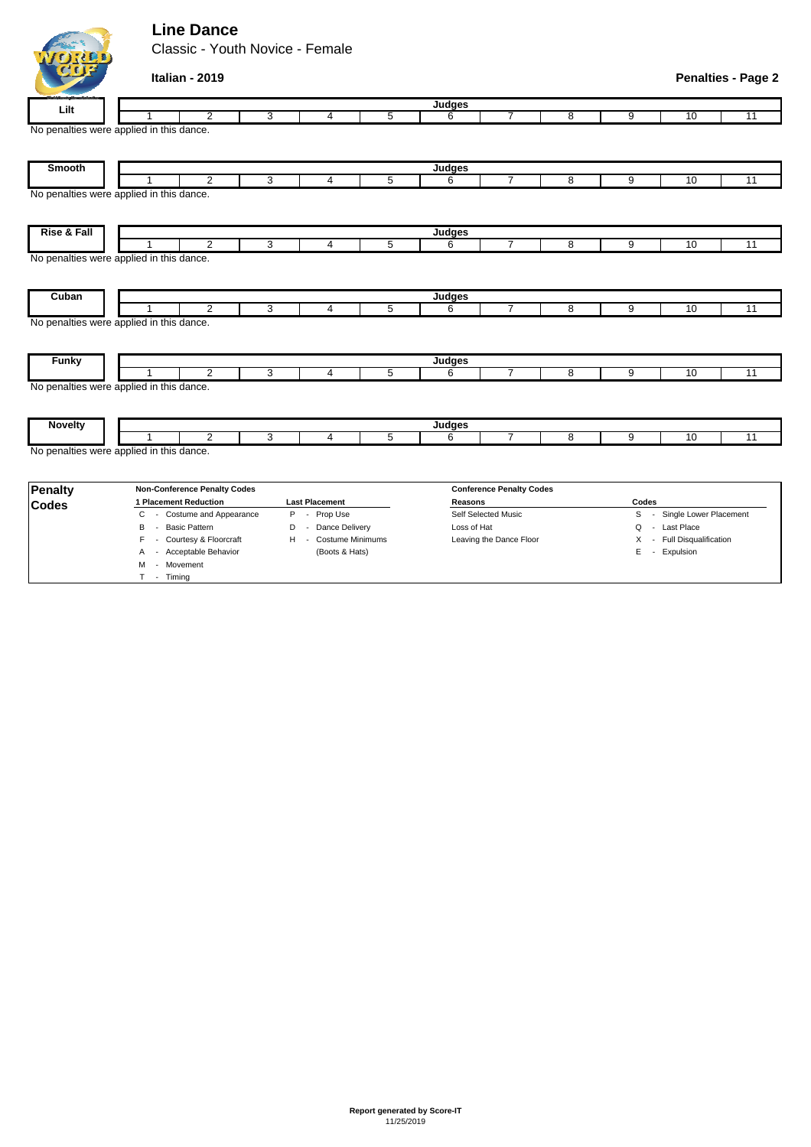## **Line Dance**

**CASE** 

M - Movement T - Timing

Classic - Youth Novice - Female

| $\frac{1}{2}$  | Italian - 2019                           |                                             |   |             |                                 |                |       |                                                                                         | <b>Penalties - Page 2</b> |
|----------------|------------------------------------------|---------------------------------------------|---|-------------|---------------------------------|----------------|-------|-----------------------------------------------------------------------------------------|---------------------------|
| Lilt           |                                          |                                             |   | Judges      |                                 |                |       |                                                                                         |                           |
|                | $\overline{2}$<br>1                      | 3<br>4                                      | 5 | 6           | 7                               | $\overline{8}$ | 9     | 10                                                                                      | $\overline{11}$           |
|                | No penalties were applied in this dance. |                                             |   |             |                                 |                |       |                                                                                         |                           |
| Smooth         |                                          |                                             |   | Judges      |                                 |                |       |                                                                                         |                           |
|                | 2                                        | 3<br>4                                      | 5 | 6           | 7                               | 8              | 9     | 10                                                                                      | 11                        |
|                | No penalties were applied in this dance. |                                             |   |             |                                 |                |       |                                                                                         |                           |
| Rise & Fall    |                                          |                                             |   | Judges      |                                 |                |       |                                                                                         |                           |
|                | 2<br>1                                   | 3<br>4                                      | 5 | 6           | 7                               | 8              | 9     | 10                                                                                      | 11                        |
|                | No penalties were applied in this dance. |                                             |   |             |                                 |                |       |                                                                                         |                           |
| Cuban          | $\overline{2}$<br>1                      | 3<br>4                                      | 5 | Judges<br>6 | $\overline{7}$                  | 8              |       |                                                                                         | 11                        |
|                | No penalties were applied in this dance. |                                             |   |             |                                 |                |       |                                                                                         |                           |
| <b>Funky</b>   |                                          |                                             |   | Judges      |                                 |                |       |                                                                                         |                           |
|                | 2<br>1                                   | 3<br>4                                      | 5 | 6           | $\overline{7}$                  | 8              | 9     | 10                                                                                      | 11                        |
| <b>Novelty</b> | No penalties were applied in this dance. |                                             |   | Judges      |                                 |                |       |                                                                                         |                           |
|                | 2<br>1                                   | 3<br>4                                      | 5 | 6           | 7                               | 8              | 9     |                                                                                         | 11                        |
|                | No penalties were applied in this dance. |                                             |   |             |                                 |                |       |                                                                                         |                           |
| <b>Penalty</b> | <b>Non-Conference Penalty Codes</b>      |                                             |   |             | <b>Conference Penalty Codes</b> |                |       |                                                                                         |                           |
| Codes          | 1 Placement Reduction                    | <b>Last Placement</b>                       |   | Reasons     |                                 |                | Codes |                                                                                         |                           |
|                | - Costume and Appearance<br>C            | Prop Use<br>P<br>$\sim 100$                 |   |             | Self Selected Music             |                | s     | 9<br>10<br>10<br>Single Lower Placement<br>- Last Place<br>Q<br>- Full Disqualification |                           |
|                | - Basic Pattern<br>в                     | - Dance Delivery<br>D                       |   | Loss of Hat |                                 |                |       |                                                                                         |                           |
|                | - Courtesy & Floorcraft                  | <b>Costume Minimums</b><br>H.<br>$\sim$ $-$ |   |             | Leaving the Dance Floor         |                | х     |                                                                                         |                           |
|                | A - Acceptable Behavior                  | (Boots & Hats)                              |   |             |                                 |                | E     | - Expulsion                                                                             |                           |